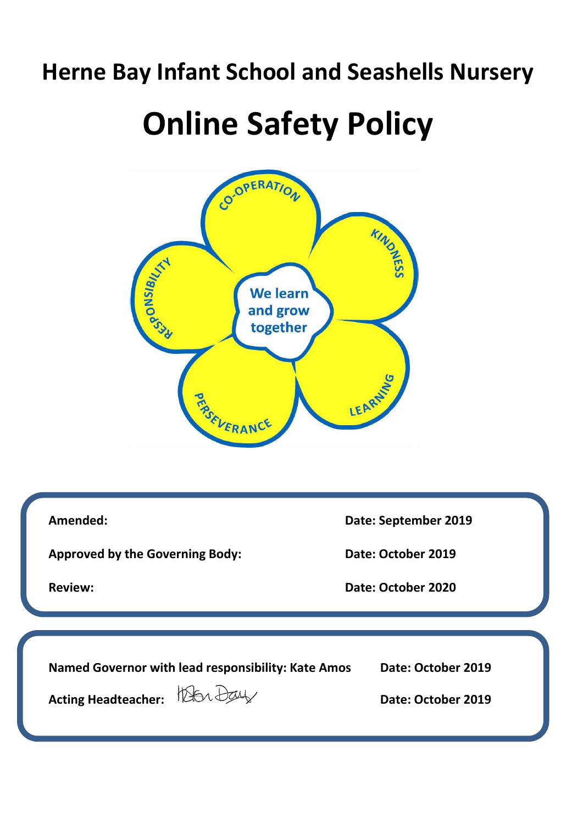# **Herne Bay Infant School and Seashells Nursery**

# **Online Safety Policy**



**Amended: Date: September 2019 Approved by the Governing Body: Date: October 2019 Review: Date: October 2020 Named Governor with lead responsibility: Kate Amos Date: October 2019** Acting Headteacher:  $\frac{1}{2}$  Date: October 2019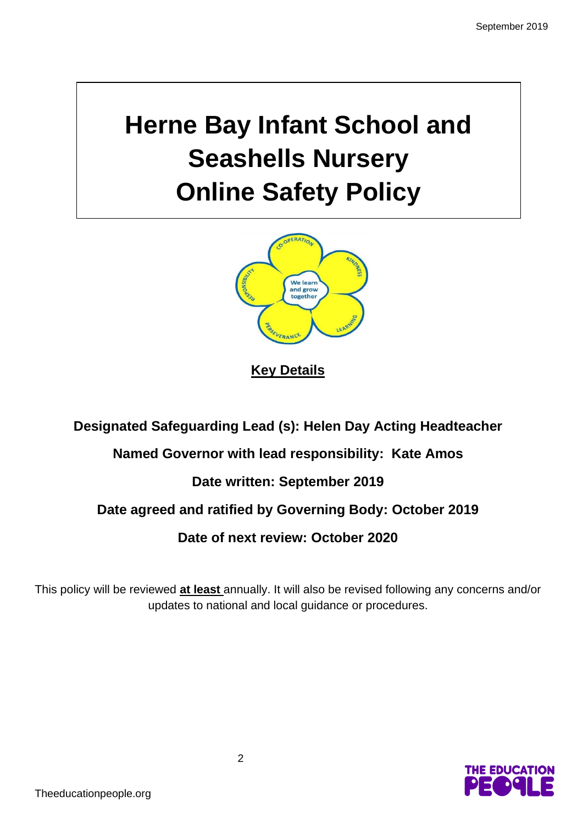# **Herne Bay Infant School and Seashells Nursery Online Safety Policy**



**Key Details**

**Designated Safeguarding Lead (s): Helen Day Acting Headteacher**

## **Named Governor with lead responsibility: Kate Amos**

## **Date written: September 2019**

## **Date agreed and ratified by Governing Body: October 2019**

## **Date of next review: October 2020**

This policy will be reviewed **at least** annually. It will also be revised following any concerns and/or updates to national and local guidance or procedures.

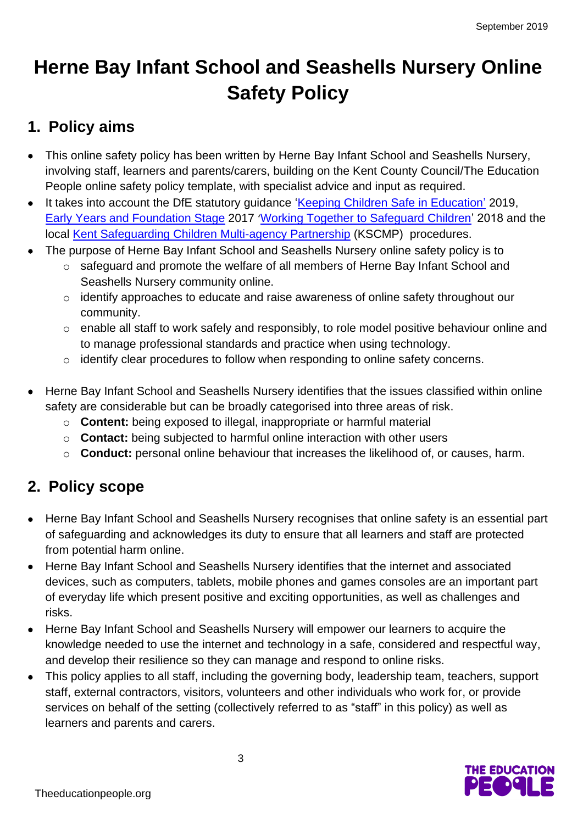# **Herne Bay Infant School and Seashells Nursery Online Safety Policy**

## **1. Policy aims**

- This online safety policy has been written by Herne Bay Infant School and Seashells Nursery, involving staff, learners and parents/carers, building on the Kent County Council/The Education People online safety policy template, with specialist advice and input as required.
- It takes into account the DfE statutory quidance ['Keeping Children Safe in Education'](https://www.gov.uk/government/publications/keeping-children-safe-in-education--2) 2019, [Early Years and Foundation Stage](https://www.gov.uk/government/publications/early-years-foundation-stage-framework--2) 2017 '[Working Together to Safeguard Children'](https://www.gov.uk/government/publications/working-together-to-safeguard-children--2) 2018 and the local [Kent Safeguarding Children Multi-agency Partnership](https://www.kscb.org.uk/) (KSCMP) procedures.
- The purpose of Herne Bay Infant School and Seashells Nursery online safety policy is to
	- o safeguard and promote the welfare of all members of Herne Bay Infant School and Seashells Nursery community online.
	- o identify approaches to educate and raise awareness of online safety throughout our community.
	- o enable all staff to work safely and responsibly, to role model positive behaviour online and to manage professional standards and practice when using technology.
	- o identify clear procedures to follow when responding to online safety concerns.
- Herne Bay Infant School and Seashells Nursery identifies that the issues classified within online safety are considerable but can be broadly categorised into three areas of risk.
	- o **Content:** being exposed to illegal, inappropriate or harmful material
	- o **Contact:** being subjected to harmful online interaction with other users
	- o **Conduct:** personal online behaviour that increases the likelihood of, or causes, harm.

## **2. Policy scope**

- Herne Bay Infant School and Seashells Nursery recognises that online safety is an essential part of safeguarding and acknowledges its duty to ensure that all learners and staff are protected from potential harm online.
- Herne Bay Infant School and Seashells Nursery identifies that the internet and associated devices, such as computers, tablets, mobile phones and games consoles are an important part of everyday life which present positive and exciting opportunities, as well as challenges and risks.
- Herne Bay Infant School and Seashells Nursery will empower our learners to acquire the knowledge needed to use the internet and technology in a safe, considered and respectful way, and develop their resilience so they can manage and respond to online risks.
- This policy applies to all staff, including the governing body, leadership team, teachers, support staff, external contractors, visitors, volunteers and other individuals who work for, or provide services on behalf of the setting (collectively referred to as "staff" in this policy) as well as learners and parents and carers.

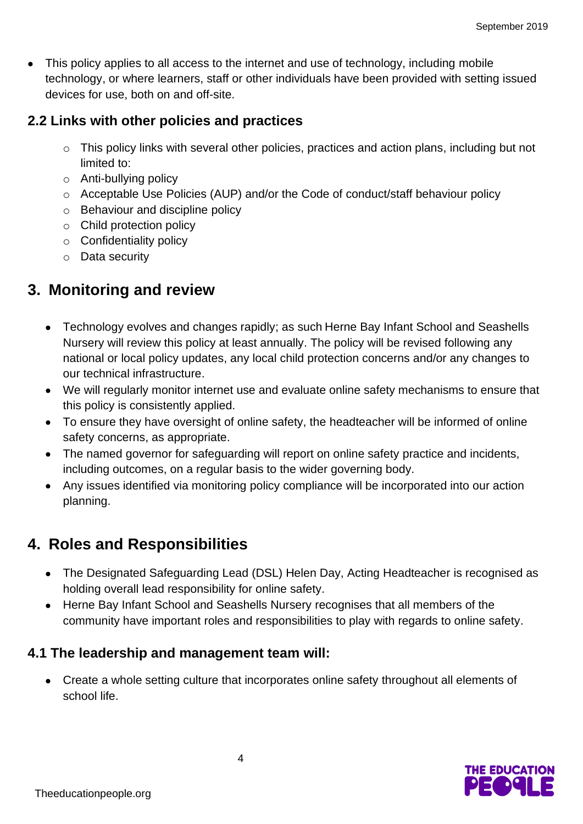• This policy applies to all access to the internet and use of technology, including mobile technology, or where learners, staff or other individuals have been provided with setting issued devices for use, both on and off-site.

### **2.2 Links with other policies and practices**

- o This policy links with several other policies, practices and action plans, including but not limited to:
- o Anti-bullying policy
- o Acceptable Use Policies (AUP) and/or the Code of conduct/staff behaviour policy
- o Behaviour and discipline policy
- o Child protection policy
- o Confidentiality policy
- o Data security

## **3. Monitoring and review**

- Technology evolves and changes rapidly; as such Herne Bay Infant School and Seashells Nursery will review this policy at least annually. The policy will be revised following any national or local policy updates, any local child protection concerns and/or any changes to our technical infrastructure.
- We will regularly monitor internet use and evaluate online safety mechanisms to ensure that this policy is consistently applied.
- To ensure they have oversight of online safety, the headteacher will be informed of online safety concerns, as appropriate.
- The named governor for safeguarding will report on online safety practice and incidents, including outcomes, on a regular basis to the wider governing body.
- Any issues identified via monitoring policy compliance will be incorporated into our action planning.

## **4. Roles and Responsibilities**

- The Designated Safeguarding Lead (DSL) Helen Day, Acting Headteacher is recognised as holding overall lead responsibility for online safety.
- Herne Bay Infant School and Seashells Nursery recognises that all members of the community have important roles and responsibilities to play with regards to online safety.

## **4.1 The leadership and management team will:**

• Create a whole setting culture that incorporates online safety throughout all elements of school life.

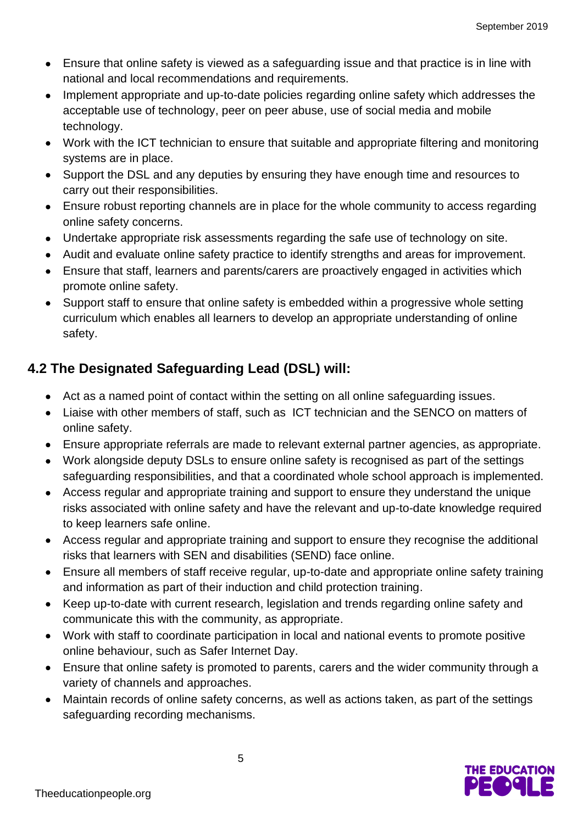- Ensure that online safety is viewed as a safeguarding issue and that practice is in line with national and local recommendations and requirements.
- Implement appropriate and up-to-date policies regarding online safety which addresses the acceptable use of technology, peer on peer abuse, use of social media and mobile technology.
- Work with the ICT technician to ensure that suitable and appropriate filtering and monitoring systems are in place.
- Support the DSL and any deputies by ensuring they have enough time and resources to carry out their responsibilities.
- Ensure robust reporting channels are in place for the whole community to access regarding online safety concerns.
- Undertake appropriate risk assessments regarding the safe use of technology on site.
- Audit and evaluate online safety practice to identify strengths and areas for improvement.
- Ensure that staff, learners and parents/carers are proactively engaged in activities which promote online safety.
- Support staff to ensure that online safety is embedded within a progressive whole setting curriculum which enables all learners to develop an appropriate understanding of online safety.

## **4.2 The Designated Safeguarding Lead (DSL) will:**

- Act as a named point of contact within the setting on all online safeguarding issues.
- Liaise with other members of staff, such as ICT technician and the SENCO on matters of online safety.
- Ensure appropriate referrals are made to relevant external partner agencies, as appropriate.
- Work alongside deputy DSLs to ensure online safety is recognised as part of the settings safeguarding responsibilities, and that a coordinated whole school approach is implemented.
- Access regular and appropriate training and support to ensure they understand the unique risks associated with online safety and have the relevant and up-to-date knowledge required to keep learners safe online.
- Access regular and appropriate training and support to ensure they recognise the additional risks that learners with SEN and disabilities (SEND) face online.
- Ensure all members of staff receive regular, up-to-date and appropriate online safety training and information as part of their induction and child protection training.
- Keep up-to-date with current research, legislation and trends regarding online safety and communicate this with the community, as appropriate.
- Work with staff to coordinate participation in local and national events to promote positive online behaviour, such as Safer Internet Day.
- Ensure that online safety is promoted to parents, carers and the wider community through a variety of channels and approaches.
- Maintain records of online safety concerns, as well as actions taken, as part of the settings safeguarding recording mechanisms.

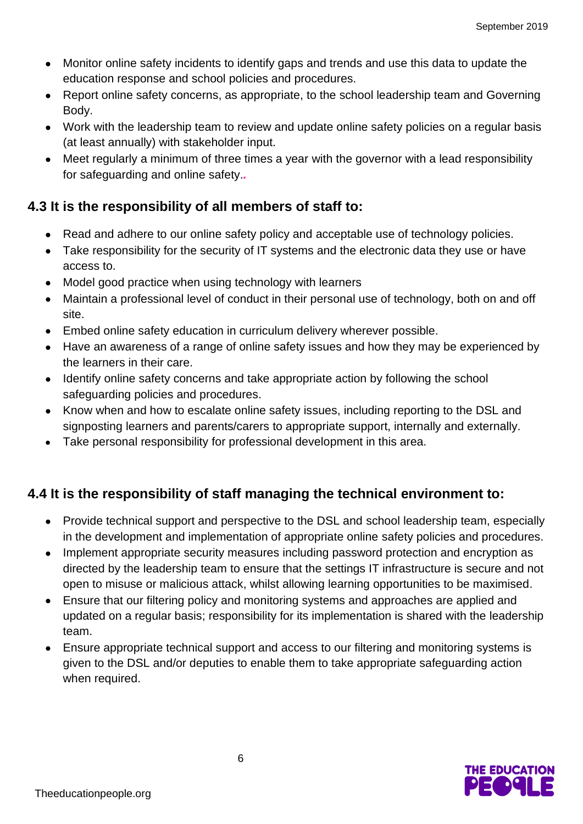- Monitor online safety incidents to identify gaps and trends and use this data to update the education response and school policies and procedures.
- Report online safety concerns, as appropriate, to the school leadership team and Governing Body.
- Work with the leadership team to review and update online safety policies on a regular basis (at least annually) with stakeholder input.
- Meet regularly a minimum of three times a year with the governor with a lead responsibility for safeguarding and online safety.*.*

## **4.3 It is the responsibility of all members of staff to:**

- Read and adhere to our online safety policy and acceptable use of technology policies.
- Take responsibility for the security of IT systems and the electronic data they use or have access to.
- Model good practice when using technology with learners
- Maintain a professional level of conduct in their personal use of technology, both on and off site.
- Embed online safety education in curriculum delivery wherever possible.
- Have an awareness of a range of online safety issues and how they may be experienced by the learners in their care.
- Identify online safety concerns and take appropriate action by following the school safeguarding policies and procedures.
- Know when and how to escalate online safety issues, including reporting to the DSL and signposting learners and parents/carers to appropriate support, internally and externally.
- Take personal responsibility for professional development in this area.

## **4.4 It is the responsibility of staff managing the technical environment to:**

- Provide technical support and perspective to the DSL and school leadership team, especially in the development and implementation of appropriate online safety policies and procedures.
- Implement appropriate security measures including password protection and encryption as directed by the leadership team to ensure that the settings IT infrastructure is secure and not open to misuse or malicious attack, whilst allowing learning opportunities to be maximised.
- Ensure that our filtering policy and monitoring systems and approaches are applied and updated on a regular basis; responsibility for its implementation is shared with the leadership team.
- Ensure appropriate technical support and access to our filtering and monitoring systems is given to the DSL and/or deputies to enable them to take appropriate safeguarding action when required.

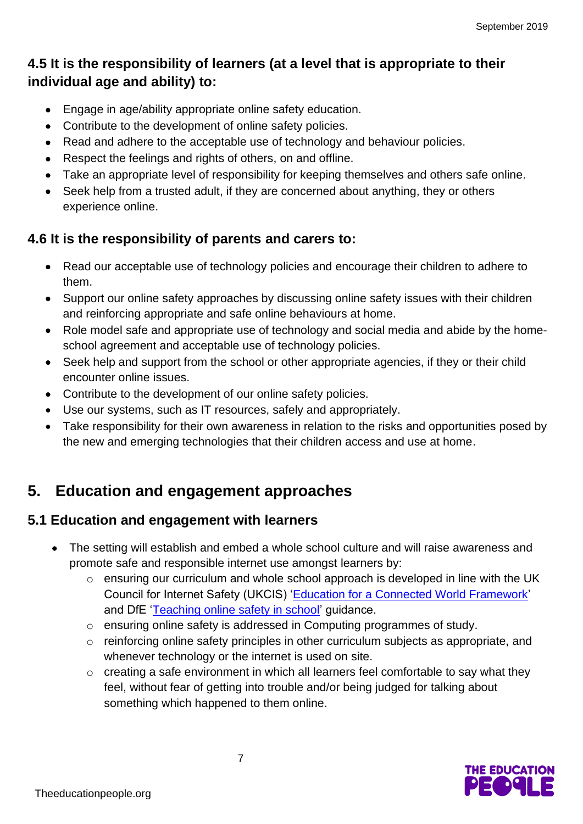## **4.5 It is the responsibility of learners (at a level that is appropriate to their individual age and ability) to:**

- Engage in age/ability appropriate online safety education.
- Contribute to the development of online safety policies.
- Read and adhere to the acceptable use of technology and behaviour policies.
- Respect the feelings and rights of others, on and offline.
- Take an appropriate level of responsibility for keeping themselves and others safe online.
- Seek help from a trusted adult, if they are concerned about anything, they or others experience online.

## **4.6 It is the responsibility of parents and carers to:**

- Read our acceptable use of technology policies and encourage their children to adhere to them.
- Support our online safety approaches by discussing online safety issues with their children and reinforcing appropriate and safe online behaviours at home.
- Role model safe and appropriate use of technology and social media and abide by the homeschool agreement and acceptable use of technology policies.
- Seek help and support from the school or other appropriate agencies, if they or their child encounter online issues.
- Contribute to the development of our online safety policies.
- Use our systems, such as IT resources, safely and appropriately.
- Take responsibility for their own awareness in relation to the risks and opportunities posed by the new and emerging technologies that their children access and use at home.

## **5. Education and engagement approaches**

## **5.1 Education and engagement with learners**

- The setting will establish and embed a whole school culture and will raise awareness and promote safe and responsible internet use amongst learners by:
	- o ensuring our curriculum and whole school approach is developed in line with the UK Council for Internet Safety (UKCIS) ['Education for a Connected World Framework'](https://www.gov.uk/government/publications/education-for-a-connected-world) and DfE ['Teaching online safety in school'](https://www.gov.uk/government/publications/teaching-online-safety-in-schools) guidance.
	- o ensuring online safety is addressed in Computing programmes of study.
	- o reinforcing online safety principles in other curriculum subjects as appropriate, and whenever technology or the internet is used on site.
	- o creating a safe environment in which all learners feel comfortable to say what they feel, without fear of getting into trouble and/or being judged for talking about something which happened to them online.

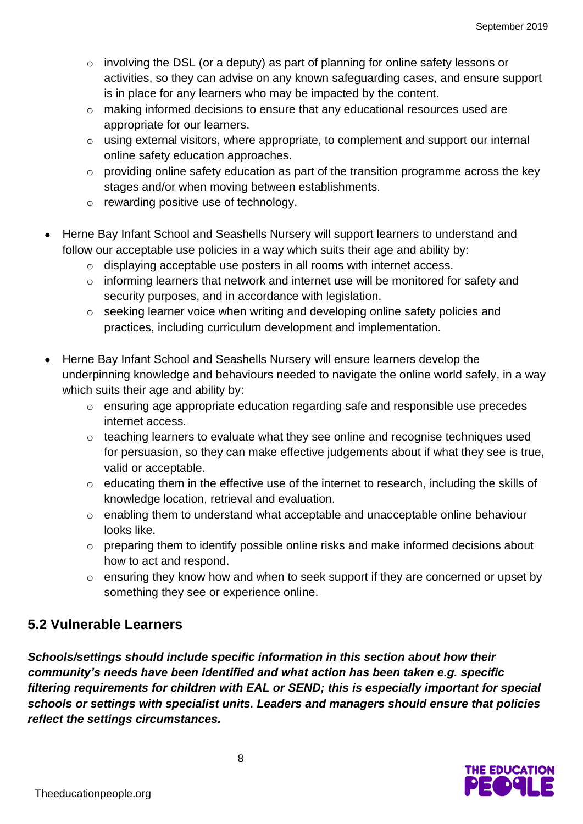- $\circ$  involving the DSL (or a deputy) as part of planning for online safety lessons or activities, so they can advise on any known safeguarding cases, and ensure support is in place for any learners who may be impacted by the content.
- o making informed decisions to ensure that any educational resources used are appropriate for our learners.
- o using external visitors, where appropriate, to complement and support our internal online safety education approaches.
- o providing online safety education as part of the transition programme across the key stages and/or when moving between establishments.
- o rewarding positive use of technology.
- Herne Bay Infant School and Seashells Nursery will support learners to understand and follow our acceptable use policies in a way which suits their age and ability by:
	- o displaying acceptable use posters in all rooms with internet access.
	- o informing learners that network and internet use will be monitored for safety and security purposes, and in accordance with legislation.
	- o seeking learner voice when writing and developing online safety policies and practices, including curriculum development and implementation.
- Herne Bay Infant School and Seashells Nursery will ensure learners develop the underpinning knowledge and behaviours needed to navigate the online world safely, in a way which suits their age and ability by:
	- o ensuring age appropriate education regarding safe and responsible use precedes internet access.
	- o teaching learners to evaluate what they see online and recognise techniques used for persuasion, so they can make effective judgements about if what they see is true, valid or acceptable.
	- o educating them in the effective use of the internet to research, including the skills of knowledge location, retrieval and evaluation.
	- o enabling them to understand what acceptable and unacceptable online behaviour looks like.
	- o preparing them to identify possible online risks and make informed decisions about how to act and respond.
	- o ensuring they know how and when to seek support if they are concerned or upset by something they see or experience online.

## **5.2 Vulnerable Learners**

*Schools/settings should include specific information in this section about how their community's needs have been identified and what action has been taken e.g. specific filtering requirements for children with EAL or SEND; this is especially important for special schools or settings with specialist units. Leaders and managers should ensure that policies reflect the settings circumstances.* 

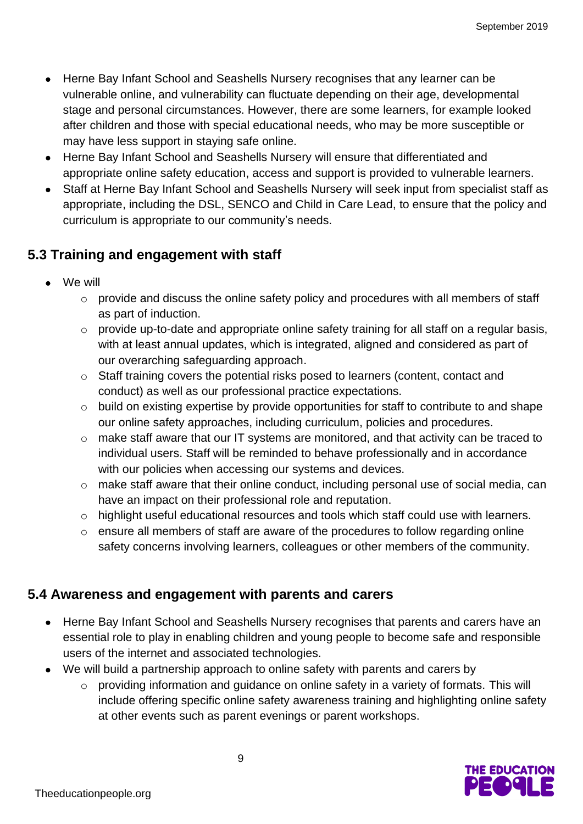- Herne Bay Infant School and Seashells Nursery recognises that any learner can be vulnerable online, and vulnerability can fluctuate depending on their age, developmental stage and personal circumstances. However, there are some learners, for example looked after children and those with special educational needs, who may be more susceptible or may have less support in staying safe online.
- Herne Bay Infant School and Seashells Nursery will ensure that differentiated and appropriate online safety education, access and support is provided to vulnerable learners.
- Staff at Herne Bay Infant School and Seashells Nursery will seek input from specialist staff as appropriate, including the DSL, SENCO and Child in Care Lead, to ensure that the policy and curriculum is appropriate to our community's needs.

## **5.3 Training and engagement with staff**

- We will
	- o provide and discuss the online safety policy and procedures with all members of staff as part of induction.
	- $\circ$  provide up-to-date and appropriate online safety training for all staff on a regular basis, with at least annual updates, which is integrated, aligned and considered as part of our overarching safeguarding approach.
	- o Staff training covers the potential risks posed to learners (content, contact and conduct) as well as our professional practice expectations.
	- o build on existing expertise by provide opportunities for staff to contribute to and shape our online safety approaches, including curriculum, policies and procedures.
	- o make staff aware that our IT systems are monitored, and that activity can be traced to individual users. Staff will be reminded to behave professionally and in accordance with our policies when accessing our systems and devices.
	- o make staff aware that their online conduct, including personal use of social media, can have an impact on their professional role and reputation.
	- o highlight useful educational resources and tools which staff could use with learners.
	- o ensure all members of staff are aware of the procedures to follow regarding online safety concerns involving learners, colleagues or other members of the community.

### **5.4 Awareness and engagement with parents and carers**

- Herne Bay Infant School and Seashells Nursery recognises that parents and carers have an essential role to play in enabling children and young people to become safe and responsible users of the internet and associated technologies.
- We will build a partnership approach to online safety with parents and carers by
	- o providing information and guidance on online safety in a variety of formats. This will include offering specific online safety awareness training and highlighting online safety at other events such as parent evenings or parent workshops.

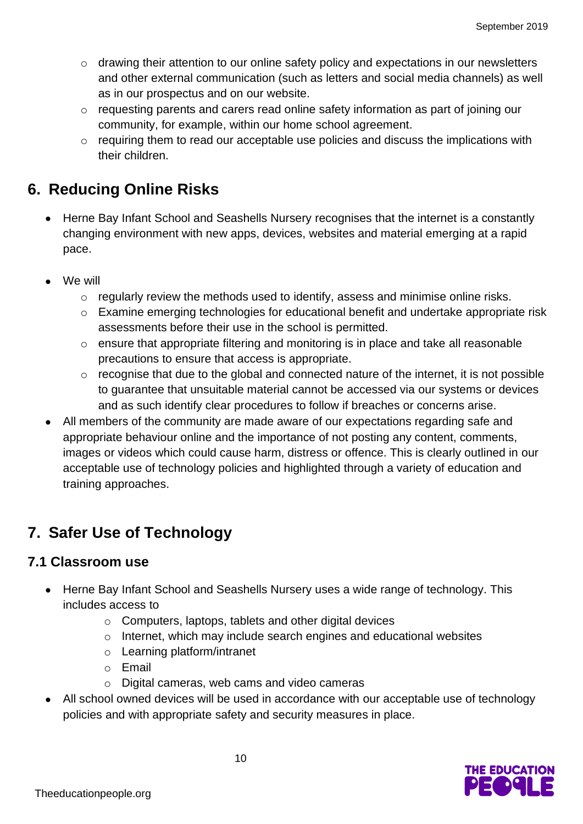- o drawing their attention to our online safety policy and expectations in our newsletters and other external communication (such as letters and social media channels) as well as in our prospectus and on our website.
- o requesting parents and carers read online safety information as part of joining our community, for example, within our home school agreement.
- o requiring them to read our acceptable use policies and discuss the implications with their children.

## **6. Reducing Online Risks**

- Herne Bay Infant School and Seashells Nursery recognises that the internet is a constantly changing environment with new apps, devices, websites and material emerging at a rapid pace.
- We will
	- o regularly review the methods used to identify, assess and minimise online risks.
	- o Examine emerging technologies for educational benefit and undertake appropriate risk assessments before their use in the school is permitted.
	- o ensure that appropriate filtering and monitoring is in place and take all reasonable precautions to ensure that access is appropriate.
	- $\circ$  recognise that due to the global and connected nature of the internet, it is not possible to guarantee that unsuitable material cannot be accessed via our systems or devices and as such identify clear procedures to follow if breaches or concerns arise.
- All members of the community are made aware of our expectations regarding safe and appropriate behaviour online and the importance of not posting any content, comments, images or videos which could cause harm, distress or offence. This is clearly outlined in our acceptable use of technology policies and highlighted through a variety of education and training approaches.

## **7. Safer Use of Technology**

## **7.1 Classroom use**

- Herne Bay Infant School and Seashells Nursery uses a wide range of technology. This includes access to
	- o Computers, laptops, tablets and other digital devices
	- o Internet, which may include search engines and educational websites
	- o Learning platform/intranet
	- o Email
	- o Digital cameras, web cams and video cameras
- All school owned devices will be used in accordance with our acceptable use of technology policies and with appropriate safety and security measures in place.

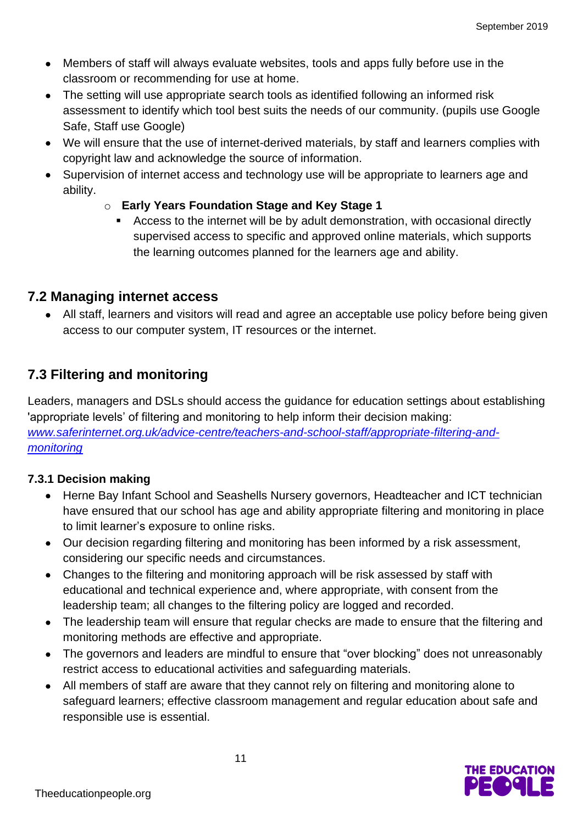- Members of staff will always evaluate websites, tools and apps fully before use in the classroom or recommending for use at home.
- The setting will use appropriate search tools as identified following an informed risk assessment to identify which tool best suits the needs of our community. (pupils use Google Safe, Staff use Google)
- We will ensure that the use of internet-derived materials, by staff and learners complies with copyright law and acknowledge the source of information.
- Supervision of internet access and technology use will be appropriate to learners age and ability.
	- o **Early Years Foundation Stage and Key Stage 1**
		- Access to the internet will be by adult demonstration, with occasional directly supervised access to specific and approved online materials, which supports the learning outcomes planned for the learners age and ability.

### **7.2 Managing internet access**

• All staff, learners and visitors will read and agree an acceptable use policy before being given access to our computer system, IT resources or the internet.

## **7.3 Filtering and monitoring**

Leaders, managers and DSLs should access the guidance for education settings about establishing 'appropriate levels' of filtering and monitoring to help inform their decision making: *[www.saferinternet.org.uk/advice-centre/teachers-and-school-staff/appropriate-filtering-and](http://www.saferinternet.org.uk/advice-centre/teachers-and-school-staff/appropriate-filtering-and-monitoring)[monitoring](http://www.saferinternet.org.uk/advice-centre/teachers-and-school-staff/appropriate-filtering-and-monitoring)*

#### **7.3.1 Decision making**

- Herne Bay Infant School and Seashells Nursery governors, Headteacher and ICT technician have ensured that our school has age and ability appropriate filtering and monitoring in place to limit learner's exposure to online risks.
- Our decision regarding filtering and monitoring has been informed by a risk assessment, considering our specific needs and circumstances.
- Changes to the filtering and monitoring approach will be risk assessed by staff with educational and technical experience and, where appropriate, with consent from the leadership team; all changes to the filtering policy are logged and recorded.
- The leadership team will ensure that regular checks are made to ensure that the filtering and monitoring methods are effective and appropriate.
- The governors and leaders are mindful to ensure that "over blocking" does not unreasonably restrict access to educational activities and safeguarding materials.
- All members of staff are aware that they cannot rely on filtering and monitoring alone to safeguard learners; effective classroom management and regular education about safe and responsible use is essential.

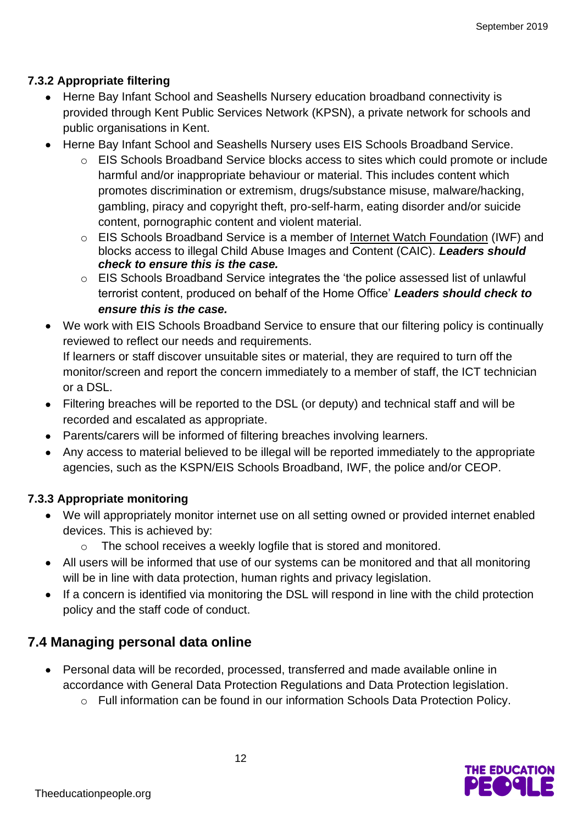#### **7.3.2 Appropriate filtering**

- Herne Bay Infant School and Seashells Nursery education broadband connectivity is provided through Kent Public Services Network (KPSN), a private network for schools and public organisations in Kent.
- Herne Bay Infant School and Seashells Nursery uses EIS Schools Broadband Service.
	- o EIS Schools Broadband Service blocks access to sites which could promote or include harmful and/or inappropriate behaviour or material. This includes content which promotes discrimination or extremism, drugs/substance misuse, malware/hacking, gambling, piracy and copyright theft, pro-self-harm, eating disorder and/or suicide content, pornographic content and violent material.
	- o EIS Schools Broadband Service is a member of [Internet Watch Foundation](https://www.iwf.org.uk/) (IWF) and blocks access to illegal Child Abuse Images and Content (CAIC). *Leaders should check to ensure this is the case.*
	- o EIS Schools Broadband Service integrates the 'the police assessed list of unlawful terrorist content, produced on behalf of the Home Office' *Leaders should check to ensure this is the case.*
- We work with EIS Schools Broadband Service to ensure that our filtering policy is continually reviewed to reflect our needs and requirements. If learners or staff discover unsuitable sites or material, they are required to turn off the monitor/screen and report the concern immediately to a member of staff, the ICT technician or a DSL.
- Filtering breaches will be reported to the DSL (or deputy) and technical staff and will be recorded and escalated as appropriate.
- Parents/carers will be informed of filtering breaches involving learners.
- Any access to material believed to be illegal will be reported immediately to the appropriate agencies, such as the KSPN/EIS Schools Broadband, IWF, the police and/or CEOP.

#### **7.3.3 Appropriate monitoring**

- We will appropriately monitor internet use on all setting owned or provided internet enabled devices. This is achieved by:
	- o The school receives a weekly logfile that is stored and monitored.
- All users will be informed that use of our systems can be monitored and that all monitoring will be in line with data protection, human rights and privacy legislation.
- If a concern is identified via monitoring the DSL will respond in line with the child protection policy and the staff code of conduct.

### **7.4 Managing personal data online**

- Personal data will be recorded, processed, transferred and made available online in accordance with General Data Protection Regulations and Data Protection legislation.
	- o Full information can be found in our information Schools Data Protection Policy.

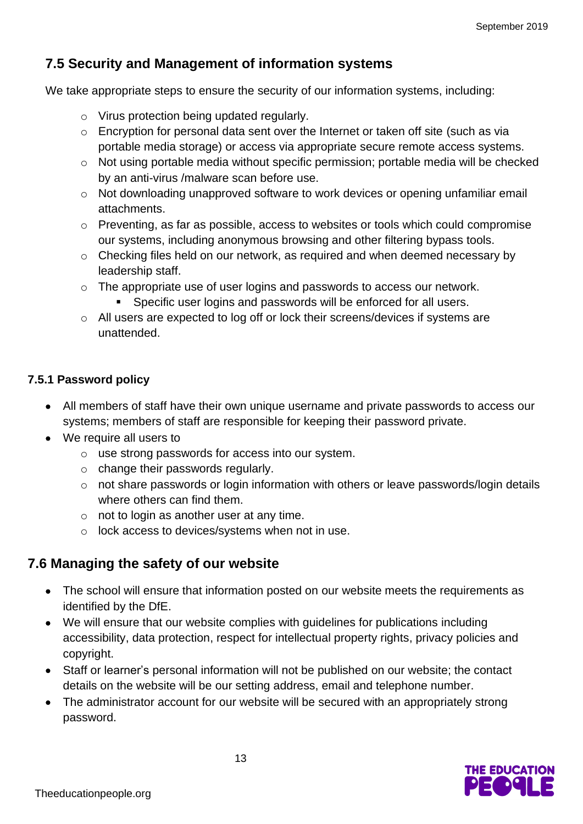## **7.5 Security and Management of information systems**

We take appropriate steps to ensure the security of our information systems, including:

- o Virus protection being updated regularly.
- o Encryption for personal data sent over the Internet or taken off site (such as via portable media storage) or access via appropriate secure remote access systems.
- o Not using portable media without specific permission; portable media will be checked by an anti-virus /malware scan before use.
- o Not downloading unapproved software to work devices or opening unfamiliar email attachments.
- o Preventing, as far as possible, access to websites or tools which could compromise our systems, including anonymous browsing and other filtering bypass tools.
- o Checking files held on our network, as required and when deemed necessary by leadership staff.
- o The appropriate use of user logins and passwords to access our network.
	- **EXECT:** Specific user logins and passwords will be enforced for all users.
- o All users are expected to log off or lock their screens/devices if systems are unattended.

#### **7.5.1 Password policy**

- All members of staff have their own unique username and private passwords to access our systems; members of staff are responsible for keeping their password private.
- We require all users to
	- o use strong passwords for access into our system.
	- $\circ$  change their passwords regularly.
	- o not share passwords or login information with others or leave passwords/login details where others can find them.
	- $\circ$  not to login as another user at any time.
	- o lock access to devices/systems when not in use.

## **7.6 Managing the safety of our website**

- The school will ensure that information posted on our website meets the requirements as identified by the DfE.
- We will ensure that our website complies with guidelines for publications including accessibility, data protection, respect for intellectual property rights, privacy policies and copyright.
- Staff or learner's personal information will not be published on our website; the contact details on the website will be our setting address, email and telephone number.
- The administrator account for our website will be secured with an appropriately strong password.

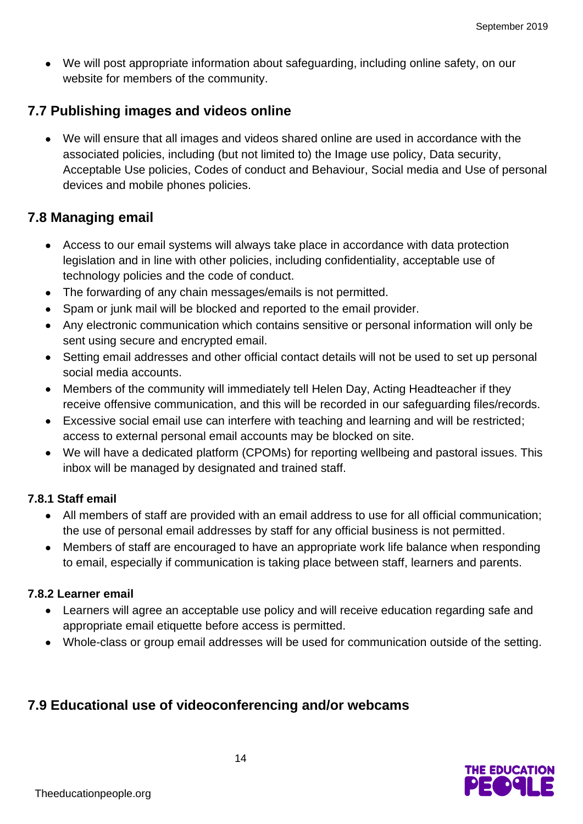• We will post appropriate information about safeguarding, including online safety, on our website for members of the community.

## **7.7 Publishing images and videos online**

• We will ensure that all images and videos shared online are used in accordance with the associated policies, including (but not limited to) the Image use policy, Data security, Acceptable Use policies, Codes of conduct and Behaviour, Social media and Use of personal devices and mobile phones policies.

#### **7.8 Managing email**

- Access to our email systems will always take place in accordance with data protection legislation and in line with other policies, including confidentiality, acceptable use of technology policies and the code of conduct.
- The forwarding of any chain messages/emails is not permitted.
- Spam or junk mail will be blocked and reported to the email provider.
- Any electronic communication which contains sensitive or personal information will only be sent using secure and encrypted email.
- Setting email addresses and other official contact details will not be used to set up personal social media accounts.
- Members of the community will immediately tell Helen Day, Acting Headteacher if they receive offensive communication, and this will be recorded in our safeguarding files/records.
- Excessive social email use can interfere with teaching and learning and will be restricted; access to external personal email accounts may be blocked on site.
- We will have a dedicated platform (CPOMs) for reporting wellbeing and pastoral issues. This inbox will be managed by designated and trained staff.

#### **7.8.1 Staff email**

- All members of staff are provided with an email address to use for all official communication; the use of personal email addresses by staff for any official business is not permitted.
- Members of staff are encouraged to have an appropriate work life balance when responding to email, especially if communication is taking place between staff, learners and parents.

#### **7.8.2 Learner email**

- Learners will agree an acceptable use policy and will receive education regarding safe and appropriate email etiquette before access is permitted.
- Whole-class or group email addresses will be used for communication outside of the setting.

## **7.9 Educational use of videoconferencing and/or webcams**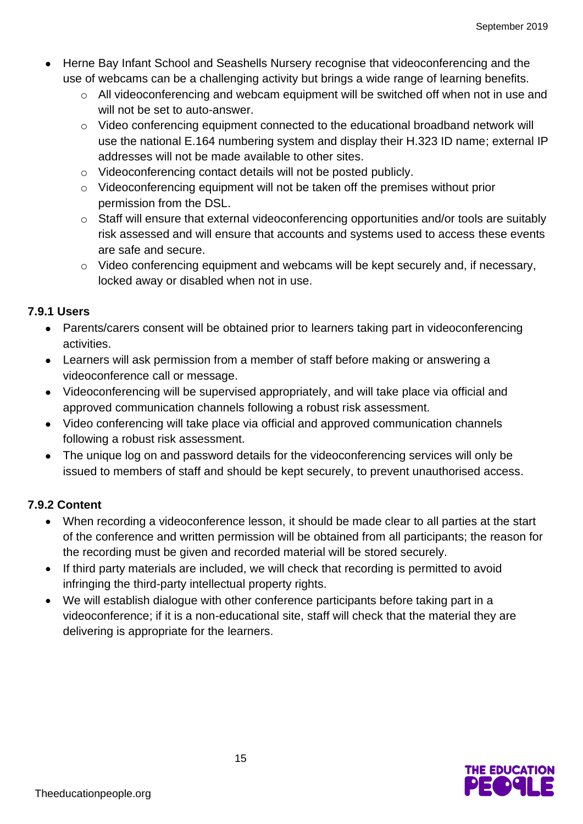- Herne Bay Infant School and Seashells Nursery recognise that videoconferencing and the use of webcams can be a challenging activity but brings a wide range of learning benefits.
	- o All videoconferencing and webcam equipment will be switched off when not in use and will not be set to auto-answer.
	- o Video conferencing equipment connected to the educational broadband network will use the national E.164 numbering system and display their H.323 ID name; external IP addresses will not be made available to other sites.
	- o Videoconferencing contact details will not be posted publicly.
	- o Videoconferencing equipment will not be taken off the premises without prior permission from the DSL.
	- o Staff will ensure that external videoconferencing opportunities and/or tools are suitably risk assessed and will ensure that accounts and systems used to access these events are safe and secure.
	- o Video conferencing equipment and webcams will be kept securely and, if necessary, locked away or disabled when not in use.

#### **7.9.1 Users**

- Parents/carers consent will be obtained prior to learners taking part in videoconferencing activities.
- Learners will ask permission from a member of staff before making or answering a videoconference call or message.
- Videoconferencing will be supervised appropriately, and will take place via official and approved communication channels following a robust risk assessment.
- Video conferencing will take place via official and approved communication channels following a robust risk assessment.
- The unique log on and password details for the videoconferencing services will only be issued to members of staff and should be kept securely, to prevent unauthorised access.

#### **7.9.2 Content**

- When recording a videoconference lesson, it should be made clear to all parties at the start of the conference and written permission will be obtained from all participants; the reason for the recording must be given and recorded material will be stored securely.
- If third party materials are included, we will check that recording is permitted to avoid infringing the third-party intellectual property rights.
- We will establish dialogue with other conference participants before taking part in a videoconference; if it is a non-educational site, staff will check that the material they are delivering is appropriate for the learners.

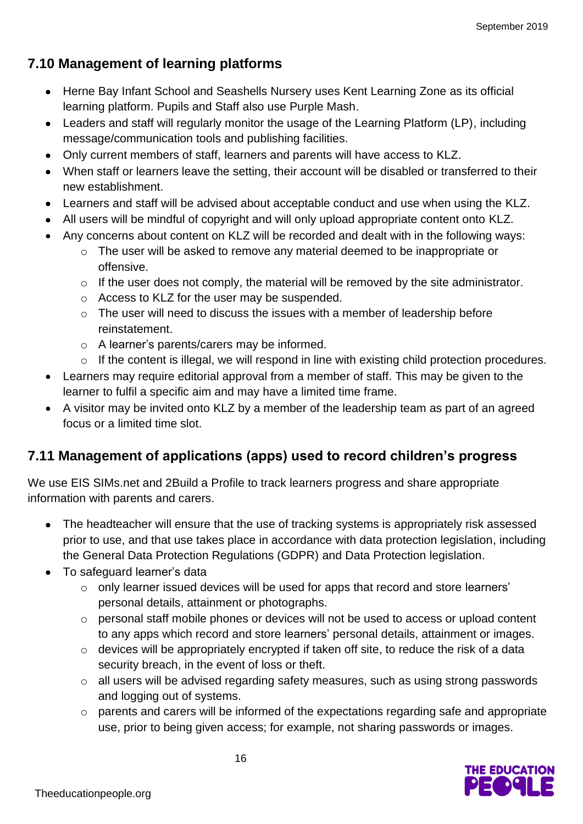## **7.10 Management of learning platforms**

- Herne Bay Infant School and Seashells Nursery uses Kent Learning Zone as its official learning platform. Pupils and Staff also use Purple Mash.
- Leaders and staff will regularly monitor the usage of the Learning Platform (LP), including message/communication tools and publishing facilities.
- Only current members of staff, learners and parents will have access to KLZ.
- When staff or learners leave the setting, their account will be disabled or transferred to their new establishment.
- Learners and staff will be advised about acceptable conduct and use when using the KLZ.
- All users will be mindful of copyright and will only upload appropriate content onto KLZ.
- Any concerns about content on KLZ will be recorded and dealt with in the following ways:
	- o The user will be asked to remove any material deemed to be inappropriate or offensive.
	- o If the user does not comply, the material will be removed by the site administrator.
	- o Access to KLZ for the user may be suspended.
	- o The user will need to discuss the issues with a member of leadership before reinstatement.
	- o A learner's parents/carers may be informed.
	- o If the content is illegal, we will respond in line with existing child protection procedures.
- Learners may require editorial approval from a member of staff. This may be given to the learner to fulfil a specific aim and may have a limited time frame.
- A visitor may be invited onto KLZ by a member of the leadership team as part of an agreed focus or a limited time slot.

## **7.11 Management of applications (apps) used to record children's progress**

We use EIS SIMs.net and 2Build a Profile to track learners progress and share appropriate information with parents and carers.

- The headteacher will ensure that the use of tracking systems is appropriately risk assessed prior to use, and that use takes place in accordance with data protection legislation, including the General Data Protection Regulations (GDPR) and Data Protection legislation.
- To safeguard learner's data
	- $\circ$  only learner issued devices will be used for apps that record and store learners' personal details, attainment or photographs.
	- o personal staff mobile phones or devices will not be used to access or upload content to any apps which record and store learners' personal details, attainment or images.
	- o devices will be appropriately encrypted if taken off site, to reduce the risk of a data security breach, in the event of loss or theft.
	- o all users will be advised regarding safety measures, such as using strong passwords and logging out of systems.
	- o parents and carers will be informed of the expectations regarding safe and appropriate use, prior to being given access; for example, not sharing passwords or images.

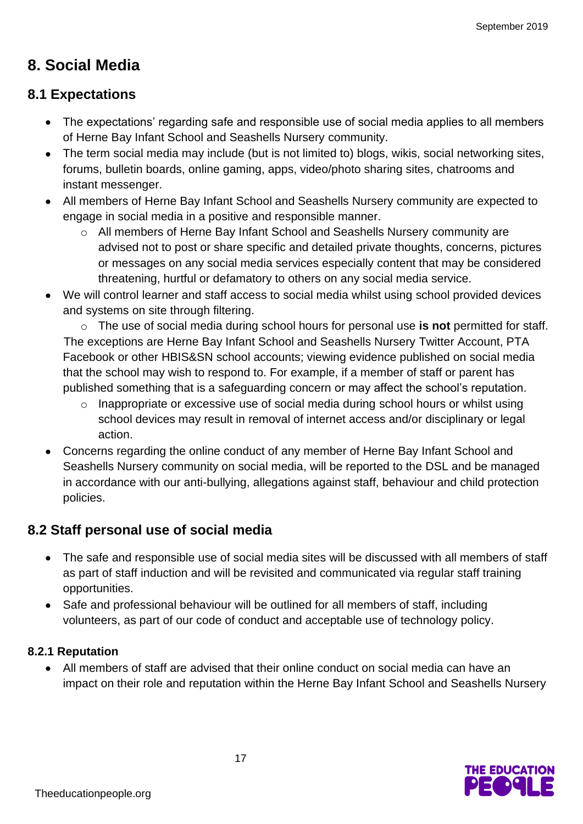## **8. Social Media**

## **8.1 Expectations**

- The expectations' regarding safe and responsible use of social media applies to all members of Herne Bay Infant School and Seashells Nursery community.
- The term social media may include (but is not limited to) blogs, wikis, social networking sites, forums, bulletin boards, online gaming, apps, video/photo sharing sites, chatrooms and instant messenger.
- All members of Herne Bay Infant School and Seashells Nursery community are expected to engage in social media in a positive and responsible manner.
	- o All members of Herne Bay Infant School and Seashells Nursery community are advised not to post or share specific and detailed private thoughts, concerns, pictures or messages on any social media services especially content that may be considered threatening, hurtful or defamatory to others on any social media service.
- We will control learner and staff access to social media whilst using school provided devices and systems on site through filtering.

o The use of social media during school hours for personal use **is not** permitted for staff. The exceptions are Herne Bay Infant School and Seashells Nursery Twitter Account, PTA Facebook or other HBIS&SN school accounts; viewing evidence published on social media that the school may wish to respond to. For example, if a member of staff or parent has published something that is a safeguarding concern or may affect the school's reputation.

- o Inappropriate or excessive use of social media during school hours or whilst using school devices may result in removal of internet access and/or disciplinary or legal action.
- Concerns regarding the online conduct of any member of Herne Bay Infant School and Seashells Nursery community on social media, will be reported to the DSL and be managed in accordance with our anti-bullying, allegations against staff, behaviour and child protection policies.

## **8.2 Staff personal use of social media**

- The safe and responsible use of social media sites will be discussed with all members of staff as part of staff induction and will be revisited and communicated via regular staff training opportunities.
- Safe and professional behaviour will be outlined for all members of staff, including volunteers, as part of our code of conduct and acceptable use of technology policy.

#### **8.2.1 Reputation**

• All members of staff are advised that their online conduct on social media can have an impact on their role and reputation within the Herne Bay Infant School and Seashells Nursery

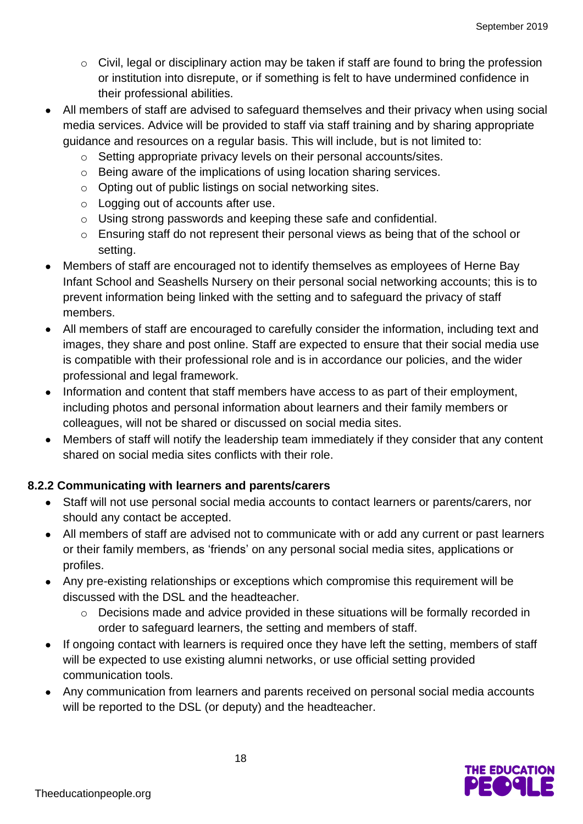- o Civil, legal or disciplinary action may be taken if staff are found to bring the profession or institution into disrepute, or if something is felt to have undermined confidence in their professional abilities.
- All members of staff are advised to safeguard themselves and their privacy when using social media services. Advice will be provided to staff via staff training and by sharing appropriate guidance and resources on a regular basis. This will include, but is not limited to:
	- o Setting appropriate privacy levels on their personal accounts/sites.
	- o Being aware of the implications of using location sharing services.
	- o Opting out of public listings on social networking sites.
	- o Logging out of accounts after use.
	- o Using strong passwords and keeping these safe and confidential.
	- o Ensuring staff do not represent their personal views as being that of the school or setting.
- Members of staff are encouraged not to identify themselves as employees of Herne Bay Infant School and Seashells Nursery on their personal social networking accounts; this is to prevent information being linked with the setting and to safeguard the privacy of staff members.
- All members of staff are encouraged to carefully consider the information, including text and images, they share and post online. Staff are expected to ensure that their social media use is compatible with their professional role and is in accordance our policies, and the wider professional and legal framework.
- Information and content that staff members have access to as part of their employment, including photos and personal information about learners and their family members or colleagues, will not be shared or discussed on social media sites.
- Members of staff will notify the leadership team immediately if they consider that any content shared on social media sites conflicts with their role.

#### **8.2.2 Communicating with learners and parents/carers**

- Staff will not use personal social media accounts to contact learners or parents/carers, nor should any contact be accepted.
- All members of staff are advised not to communicate with or add any current or past learners or their family members, as 'friends' on any personal social media sites, applications or profiles.
- Any pre-existing relationships or exceptions which compromise this requirement will be discussed with the DSL and the headteacher.
	- o Decisions made and advice provided in these situations will be formally recorded in order to safeguard learners, the setting and members of staff.
- If ongoing contact with learners is required once they have left the setting, members of staff will be expected to use existing alumni networks, or use official setting provided communication tools.
- Any communication from learners and parents received on personal social media accounts will be reported to the DSL (or deputy) and the headteacher.

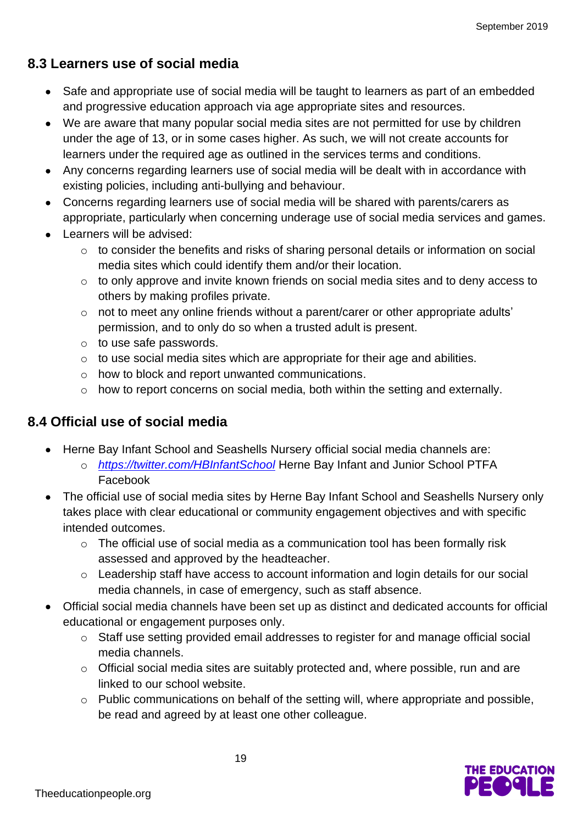## **8.3 Learners use of social media**

- Safe and appropriate use of social media will be taught to learners as part of an embedded and progressive education approach via age appropriate sites and resources.
- We are aware that many popular social media sites are not permitted for use by children under the age of 13, or in some cases higher. As such, we will not create accounts for learners under the required age as outlined in the services terms and conditions.
- Any concerns regarding learners use of social media will be dealt with in accordance with existing policies, including anti-bullying and behaviour.
- Concerns regarding learners use of social media will be shared with parents/carers as appropriate, particularly when concerning underage use of social media services and games.
- Learners will be advised:
	- o to consider the benefits and risks of sharing personal details or information on social media sites which could identify them and/or their location.
	- o to only approve and invite known friends on social media sites and to deny access to others by making profiles private.
	- o not to meet any online friends without a parent/carer or other appropriate adults' permission, and to only do so when a trusted adult is present.
	- o to use safe passwords.
	- $\circ$  to use social media sites which are appropriate for their age and abilities.
	- o how to block and report unwanted communications.
	- o how to report concerns on social media, both within the setting and externally.

## **8.4 Official use of social media**

- Herne Bay Infant School and Seashells Nursery official social media channels are:
	- o *<https://twitter.com/HBInfantSchool>* Herne Bay Infant and Junior School PTFA Facebook
- The official use of social media sites by Herne Bay Infant School and Seashells Nursery only takes place with clear educational or community engagement objectives and with specific intended outcomes.
	- o The official use of social media as a communication tool has been formally risk assessed and approved by the headteacher.
	- o Leadership staff have access to account information and login details for our social media channels, in case of emergency, such as staff absence.
- Official social media channels have been set up as distinct and dedicated accounts for official educational or engagement purposes only.
	- o Staff use setting provided email addresses to register for and manage official social media channels.
	- o Official social media sites are suitably protected and, where possible, run and are linked to our school website.
	- o Public communications on behalf of the setting will, where appropriate and possible, be read and agreed by at least one other colleague.

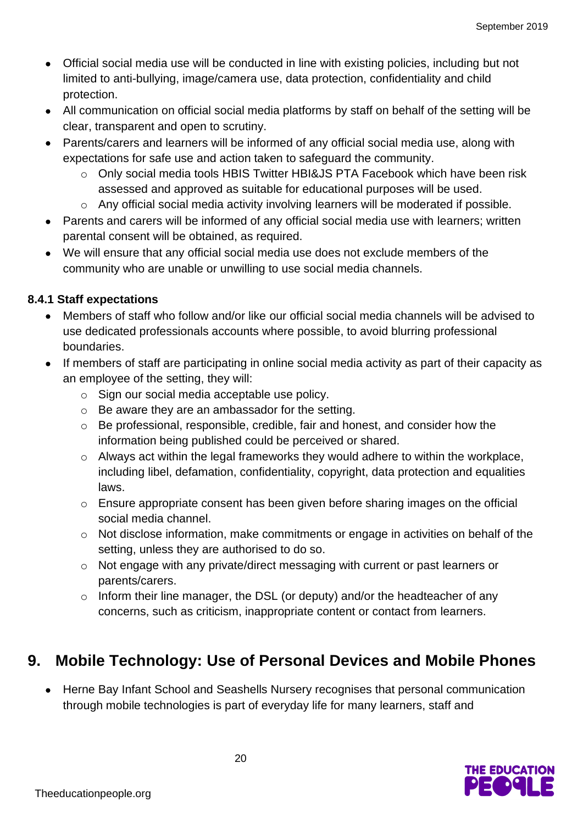- Official social media use will be conducted in line with existing policies, including but not limited to anti-bullying, image/camera use, data protection, confidentiality and child protection.
- All communication on official social media platforms by staff on behalf of the setting will be clear, transparent and open to scrutiny.
- Parents/carers and learners will be informed of any official social media use, along with expectations for safe use and action taken to safeguard the community.
	- o Only social media tools HBIS Twitter HBI&JS PTA Facebook which have been risk assessed and approved as suitable for educational purposes will be used.
	- o Any official social media activity involving learners will be moderated if possible.
- Parents and carers will be informed of any official social media use with learners; written parental consent will be obtained, as required.
- We will ensure that any official social media use does not exclude members of the community who are unable or unwilling to use social media channels.

#### **8.4.1 Staff expectations**

- Members of staff who follow and/or like our official social media channels will be advised to use dedicated professionals accounts where possible, to avoid blurring professional boundaries.
- If members of staff are participating in online social media activity as part of their capacity as an employee of the setting, they will:
	- o Sign our social media acceptable use policy.
	- o Be aware they are an ambassador for the setting.
	- o Be professional, responsible, credible, fair and honest, and consider how the information being published could be perceived or shared.
	- o Always act within the legal frameworks they would adhere to within the workplace, including libel, defamation, confidentiality, copyright, data protection and equalities laws.
	- o Ensure appropriate consent has been given before sharing images on the official social media channel.
	- o Not disclose information, make commitments or engage in activities on behalf of the setting, unless they are authorised to do so.
	- o Not engage with any private/direct messaging with current or past learners or parents/carers.
	- o Inform their line manager, the DSL (or deputy) and/or the headteacher of any concerns, such as criticism, inappropriate content or contact from learners.

## **9. Mobile Technology: Use of Personal Devices and Mobile Phones**

• Herne Bay Infant School and Seashells Nursery recognises that personal communication through mobile technologies is part of everyday life for many learners, staff and

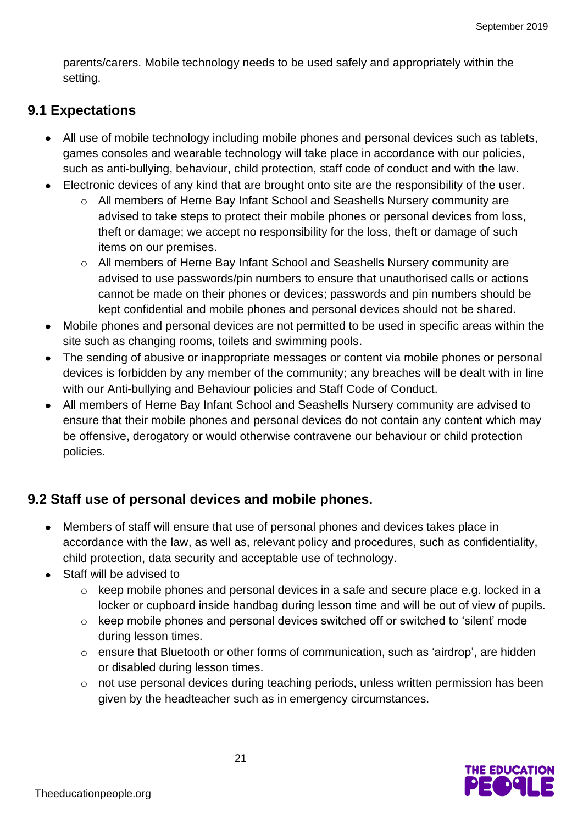parents/carers. Mobile technology needs to be used safely and appropriately within the setting.

### **9.1 Expectations**

- All use of mobile technology including mobile phones and personal devices such as tablets, games consoles and wearable technology will take place in accordance with our policies, such as anti-bullying, behaviour, child protection, staff code of conduct and with the law.
- Electronic devices of any kind that are brought onto site are the responsibility of the user.
	- o All members of Herne Bay Infant School and Seashells Nursery community are advised to take steps to protect their mobile phones or personal devices from loss, theft or damage; we accept no responsibility for the loss, theft or damage of such items on our premises.
	- o All members of Herne Bay Infant School and Seashells Nursery community are advised to use passwords/pin numbers to ensure that unauthorised calls or actions cannot be made on their phones or devices; passwords and pin numbers should be kept confidential and mobile phones and personal devices should not be shared.
- Mobile phones and personal devices are not permitted to be used in specific areas within the site such as changing rooms, toilets and swimming pools.
- The sending of abusive or inappropriate messages or content via mobile phones or personal devices is forbidden by any member of the community; any breaches will be dealt with in line with our Anti-bullying and Behaviour policies and Staff Code of Conduct.
- All members of Herne Bay Infant School and Seashells Nursery community are advised to ensure that their mobile phones and personal devices do not contain any content which may be offensive, derogatory or would otherwise contravene our behaviour or child protection policies.

## **9.2 Staff use of personal devices and mobile phones.**

- Members of staff will ensure that use of personal phones and devices takes place in accordance with the law, as well as, relevant policy and procedures, such as confidentiality, child protection, data security and acceptable use of technology.
- Staff will be advised to
	- o keep mobile phones and personal devices in a safe and secure place e.g. locked in a locker or cupboard inside handbag during lesson time and will be out of view of pupils.
	- o keep mobile phones and personal devices switched off or switched to 'silent' mode during lesson times.
	- o ensure that Bluetooth or other forms of communication, such as 'airdrop', are hidden or disabled during lesson times.
	- o not use personal devices during teaching periods, unless written permission has been given by the headteacher such as in emergency circumstances.

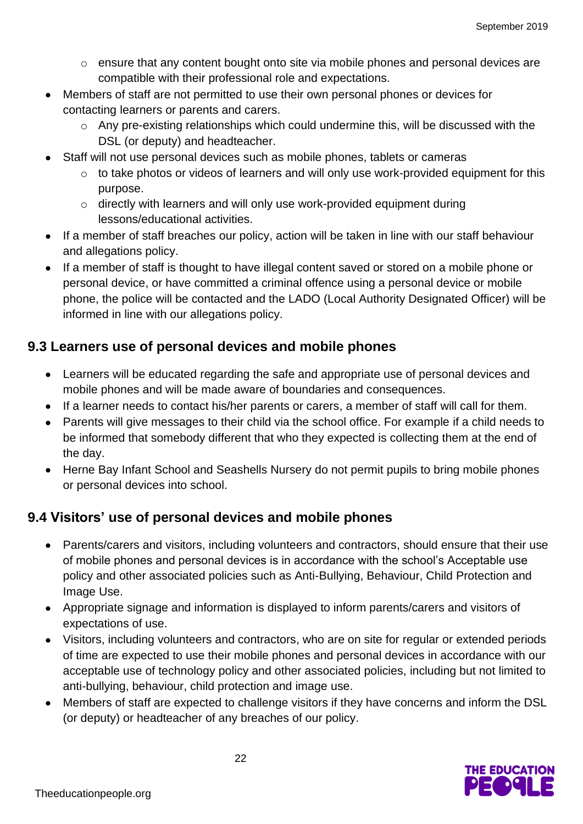- $\circ$  ensure that any content bought onto site via mobile phones and personal devices are compatible with their professional role and expectations.
- Members of staff are not permitted to use their own personal phones or devices for contacting learners or parents and carers.
	- $\circ$  Any pre-existing relationships which could undermine this, will be discussed with the DSL (or deputy) and headteacher.
- Staff will not use personal devices such as mobile phones, tablets or cameras
	- o to take photos or videos of learners and will only use work-provided equipment for this purpose.
	- o directly with learners and will only use work-provided equipment during lessons/educational activities.
- If a member of staff breaches our policy, action will be taken in line with our staff behaviour and allegations policy.
- If a member of staff is thought to have illegal content saved or stored on a mobile phone or personal device, or have committed a criminal offence using a personal device or mobile phone, the police will be contacted and the LADO (Local Authority Designated Officer) will be informed in line with our allegations policy.

## **9.3 Learners use of personal devices and mobile phones**

- Learners will be educated regarding the safe and appropriate use of personal devices and mobile phones and will be made aware of boundaries and consequences.
- If a learner needs to contact his/her parents or carers, a member of staff will call for them.
- Parents will give messages to their child via the school office. For example if a child needs to be informed that somebody different that who they expected is collecting them at the end of the day.
- Herne Bay Infant School and Seashells Nursery do not permit pupils to bring mobile phones or personal devices into school.

## **9.4 Visitors' use of personal devices and mobile phones**

- Parents/carers and visitors, including volunteers and contractors, should ensure that their use of mobile phones and personal devices is in accordance with the school's Acceptable use policy and other associated policies such as Anti-Bullying, Behaviour, Child Protection and Image Use.
- Appropriate signage and information is displayed to inform parents/carers and visitors of expectations of use.
- Visitors, including volunteers and contractors, who are on site for regular or extended periods of time are expected to use their mobile phones and personal devices in accordance with our acceptable use of technology policy and other associated policies, including but not limited to anti-bullying, behaviour, child protection and image use.
- Members of staff are expected to challenge visitors if they have concerns and inform the DSL (or deputy) or headteacher of any breaches of our policy.

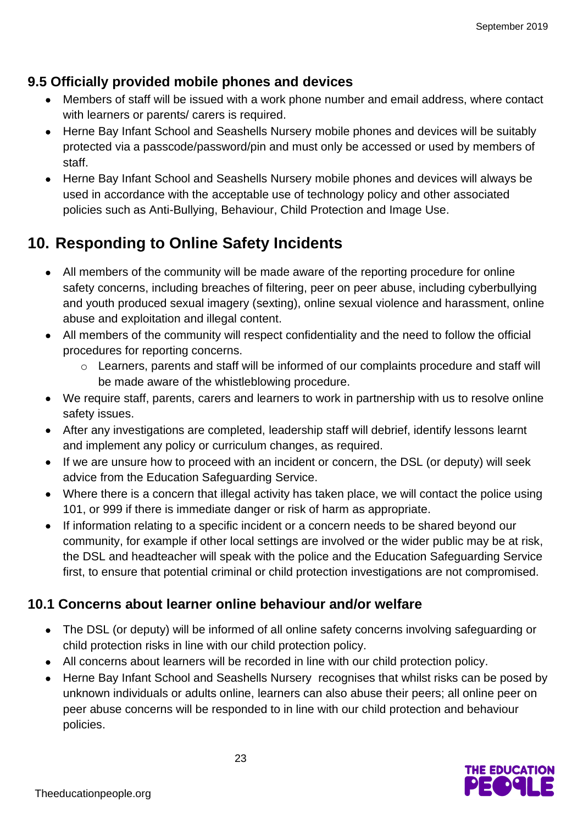## **9.5 Officially provided mobile phones and devices**

- Members of staff will be issued with a work phone number and email address, where contact with learners or parents/ carers is required.
- Herne Bay Infant School and Seashells Nursery mobile phones and devices will be suitably protected via a passcode/password/pin and must only be accessed or used by members of staff.
- Herne Bay Infant School and Seashells Nursery mobile phones and devices will always be used in accordance with the acceptable use of technology policy and other associated policies such as Anti-Bullying, Behaviour, Child Protection and Image Use.

## **10. Responding to Online Safety Incidents**

- All members of the community will be made aware of the reporting procedure for online safety concerns, including breaches of filtering, peer on peer abuse, including cyberbullying and youth produced sexual imagery (sexting), online sexual violence and harassment, online abuse and exploitation and illegal content.
- All members of the community will respect confidentiality and the need to follow the official procedures for reporting concerns.
	- o Learners, parents and staff will be informed of our complaints procedure and staff will be made aware of the whistleblowing procedure.
- We require staff, parents, carers and learners to work in partnership with us to resolve online safety issues.
- After any investigations are completed, leadership staff will debrief, identify lessons learnt and implement any policy or curriculum changes, as required.
- If we are unsure how to proceed with an incident or concern, the DSL (or deputy) will seek advice from the Education Safeguarding Service.
- Where there is a concern that illegal activity has taken place, we will contact the police using 101, or 999 if there is immediate danger or risk of harm as appropriate.
- If information relating to a specific incident or a concern needs to be shared beyond our community, for example if other local settings are involved or the wider public may be at risk, the DSL and headteacher will speak with the police and the Education Safeguarding Service first, to ensure that potential criminal or child protection investigations are not compromised.

## **10.1 Concerns about learner online behaviour and/or welfare**

- The DSL (or deputy) will be informed of all online safety concerns involving safeguarding or child protection risks in line with our child protection policy.
- All concerns about learners will be recorded in line with our child protection policy.
- Herne Bay Infant School and Seashells Nursery recognises that whilst risks can be posed by unknown individuals or adults online, learners can also abuse their peers; all online peer on peer abuse concerns will be responded to in line with our child protection and behaviour policies.

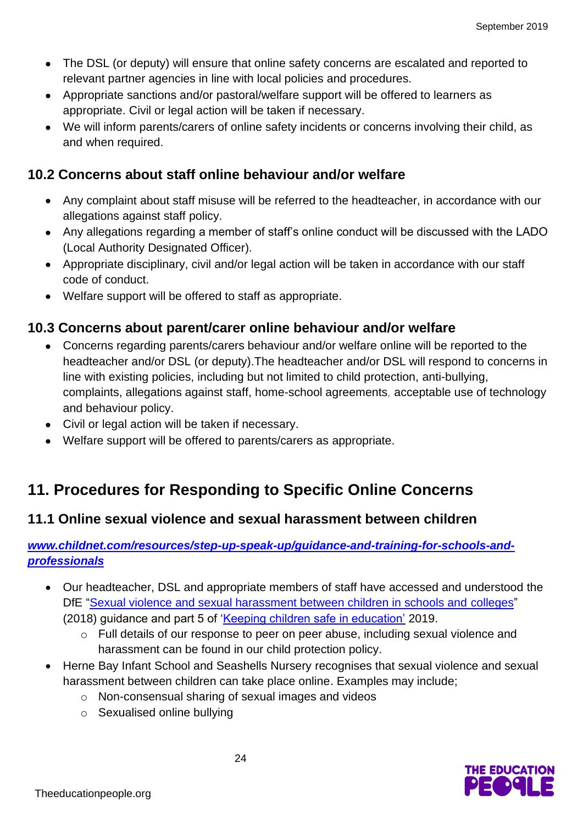- The DSL (or deputy) will ensure that online safety concerns are escalated and reported to relevant partner agencies in line with local policies and procedures.
- Appropriate sanctions and/or pastoral/welfare support will be offered to learners as appropriate. Civil or legal action will be taken if necessary.
- We will inform parents/carers of online safety incidents or concerns involving their child, as and when required.

## **10.2 Concerns about staff online behaviour and/or welfare**

- Any complaint about staff misuse will be referred to the headteacher, in accordance with our allegations against staff policy.
- Any allegations regarding a member of staff's online conduct will be discussed with the LADO (Local Authority Designated Officer).
- Appropriate disciplinary, civil and/or legal action will be taken in accordance with our staff code of conduct.
- Welfare support will be offered to staff as appropriate.

## **10.3 Concerns about parent/carer online behaviour and/or welfare**

- Concerns regarding parents/carers behaviour and/or welfare online will be reported to the headteacher and/or DSL (or deputy).The headteacher and/or DSL will respond to concerns in line with existing policies, including but not limited to child protection, anti-bullying, complaints, allegations against staff, home-school agreements*,* acceptable use of technology and behaviour policy.
- Civil or legal action will be taken if necessary.
- Welfare support will be offered to parents/carers as appropriate.

## **11. Procedures for Responding to Specific Online Concerns**

### **11.1 Online sexual violence and sexual harassment between children**

#### *[www.childnet.com/resources/step-up-speak-up/guidance-and-training-for-schools-and](http://www.childnet.com/resources/step-up-speak-up/guidance-and-training-for-schools-and-professionals)[professionals](http://www.childnet.com/resources/step-up-speak-up/guidance-and-training-for-schools-and-professionals)*

- Our headteacher, DSL and appropriate members of staff have accessed and understood the DfE ["Sexual violence and sexual harassment between children in schools and](https://www.gov.uk/government/publications/sexual-violence-and-sexual-harassment-between-children-in-schools-and-colleges) colleges" (2018) guidance and part 5 of ['Keeping children safe in education'](https://www.gov.uk/government/publications/keeping-children-safe-in-education--2) 2019.
	- o Full details of our response to peer on peer abuse, including sexual violence and harassment can be found in our child protection policy.
- Herne Bay Infant School and Seashells Nursery recognises that sexual violence and sexual harassment between children can take place online. Examples may include;
	- o Non-consensual sharing of sexual images and videos
	- o Sexualised online bullying

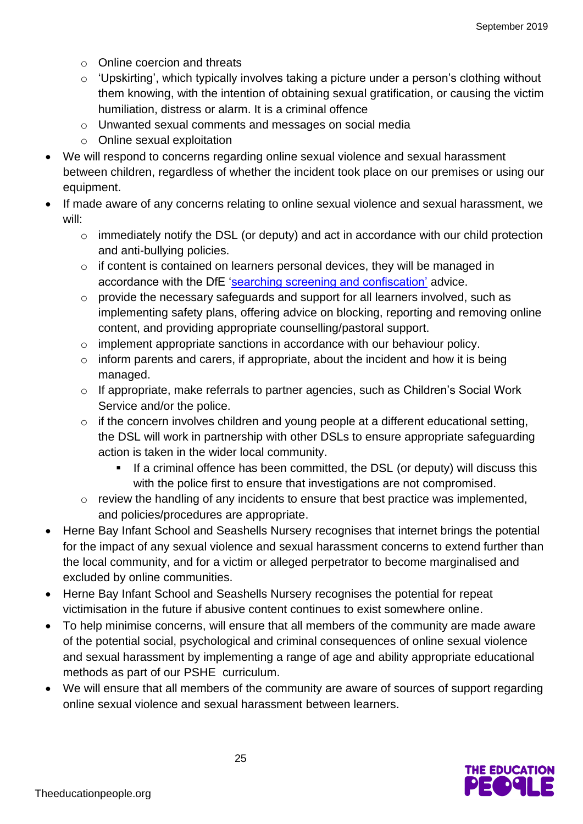- o Online coercion and threats
- $\circ$  'Upskirting', which typically involves taking a picture under a person's clothing without them knowing, with the intention of obtaining sexual gratification, or causing the victim humiliation, distress or alarm. It is a criminal offence
- o Unwanted sexual comments and messages on social media
- o Online sexual exploitation
- We will respond to concerns regarding online sexual violence and sexual harassment between children, regardless of whether the incident took place on our premises or using our equipment.
- If made aware of any concerns relating to online sexual violence and sexual harassment, we will:
	- o immediately notify the DSL (or deputy) and act in accordance with our child protection and anti-bullying policies.
	- o if content is contained on learners personal devices, they will be managed in accordance with the DfE ['searching screening and confiscation'](https://www.gov.uk/government/publications/searching-screening-and-confiscation) advice.
	- o provide the necessary safeguards and support for all learners involved, such as implementing safety plans, offering advice on blocking, reporting and removing online content, and providing appropriate counselling/pastoral support.
	- o implement appropriate sanctions in accordance with our behaviour policy.
	- $\circ$  inform parents and carers, if appropriate, about the incident and how it is being managed.
	- o If appropriate, make referrals to partner agencies, such as Children's Social Work Service and/or the police.
	- $\circ$  if the concern involves children and young people at a different educational setting, the DSL will work in partnership with other DSLs to ensure appropriate safeguarding action is taken in the wider local community.
		- **EXT** If a criminal offence has been committed, the DSL (or deputy) will discuss this with the police first to ensure that investigations are not compromised.
	- o review the handling of any incidents to ensure that best practice was implemented, and policies/procedures are appropriate.
- Herne Bay Infant School and Seashells Nursery recognises that internet brings the potential for the impact of any sexual violence and sexual harassment concerns to extend further than the local community, and for a victim or alleged perpetrator to become marginalised and excluded by online communities.
- Herne Bay Infant School and Seashells Nursery recognises the potential for repeat victimisation in the future if abusive content continues to exist somewhere online.
- To help minimise concerns, will ensure that all members of the community are made aware of the potential social, psychological and criminal consequences of online sexual violence and sexual harassment by implementing a range of age and ability appropriate educational methods as part of our PSHE curriculum.
- We will ensure that all members of the community are aware of sources of support regarding online sexual violence and sexual harassment between learners.

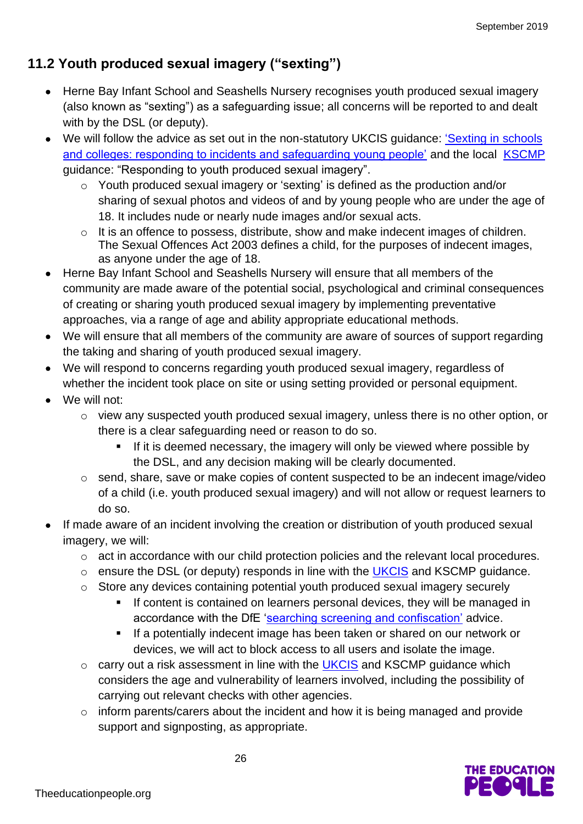## **11.2 Youth produced sexual imagery ("sexting")**

- Herne Bay Infant School and Seashells Nursery recognises youth produced sexual imagery (also known as "sexting") as a safeguarding issue; all concerns will be reported to and dealt with by the DSL (or deputy).
- We will follow the advice as set out in the non-statutory UKCIS guidance: ['Sexting in](https://www.gov.uk/government/groups/uk-council-for-child-internet-safety-ukccis) schools' [and colleges: responding to incidents and safeguarding young people'](https://www.gov.uk/government/groups/uk-council-for-child-internet-safety-ukccis) and the local **[KSCMP](http://www.kscb.org.uk/guidance/online-safety)** guidance: "Responding to youth produced sexual imagery".
	- o Youth produced sexual imagery or 'sexting' is defined as the production and/or sharing of sexual photos and videos of and by young people who are under the age of 18. It includes nude or nearly nude images and/or sexual acts.
	- o It is an offence to possess, distribute, show and make indecent images of children. The Sexual Offences Act 2003 defines a child, for the purposes of indecent images, as anyone under the age of 18.
- Herne Bay Infant School and Seashells Nursery will ensure that all members of the community are made aware of the potential social, psychological and criminal consequences of creating or sharing youth produced sexual imagery by implementing preventative approaches, via a range of age and ability appropriate educational methods.
- We will ensure that all members of the community are aware of sources of support regarding the taking and sharing of youth produced sexual imagery.
- We will respond to concerns regarding youth produced sexual imagery, regardless of whether the incident took place on site or using setting provided or personal equipment.
- We will not:
	- o view any suspected youth produced sexual imagery, unless there is no other option, or there is a clear safeguarding need or reason to do so.
		- If it is deemed necessary, the imagery will only be viewed where possible by the DSL, and any decision making will be clearly documented.
	- o send, share, save or make copies of content suspected to be an indecent image/video of a child (i.e. youth produced sexual imagery) and will not allow or request learners to do so.
- If made aware of an incident involving the creation or distribution of youth produced sexual imagery, we will:
	- o act in accordance with our child protection policies and the relevant local procedures.
	- $\circ$  ensure the DSL (or deputy) responds in line with the [UKCIS](https://www.gov.uk/government/groups/uk-council-for-child-internet-safety-ukccis) and KSCMP guidance.
	- o Store any devices containing potential youth produced sexual imagery securely
		- **EXT** If content is contained on learners personal devices, they will be managed in accordance with the DfE ['searching screening and confiscation'](https://www.gov.uk/government/publications/searching-screening-and-confiscation) advice.
		- If a potentially indecent image has been taken or shared on our network or devices, we will act to block access to all users and isolate the image.
	- o carry out a risk assessment in line with the [UKCIS](https://www.gov.uk/government/groups/uk-council-for-child-internet-safety-ukccis) and KSCMP guidance which considers the age and vulnerability of learners involved, including the possibility of carrying out relevant checks with other agencies.
	- o inform parents/carers about the incident and how it is being managed and provide support and signposting, as appropriate.

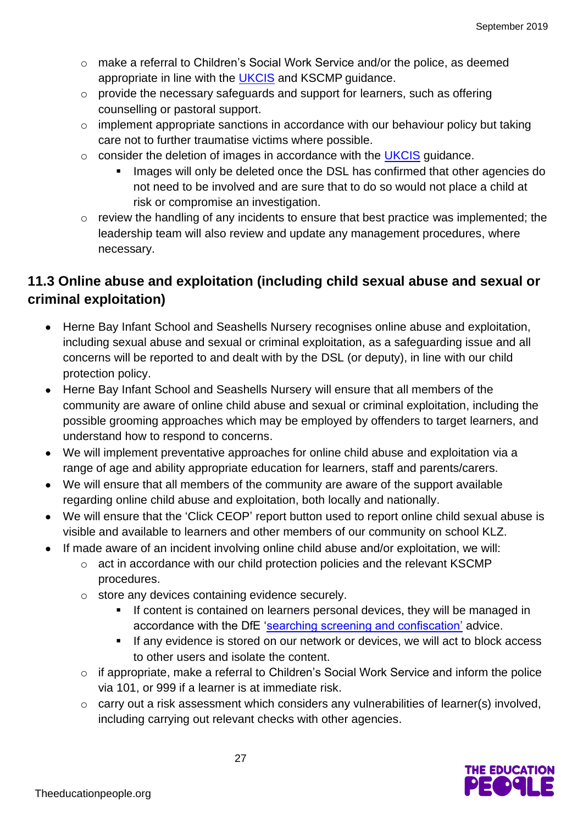- o make a referral to Children's Social Work Service and/or the police, as deemed appropriate in line with the [UKCIS](https://www.gov.uk/government/groups/uk-council-for-child-internet-safety-ukccis) and KSCMP guidance.
- o provide the necessary safeguards and support for learners, such as offering counselling or pastoral support.
- o implement appropriate sanctions in accordance with our behaviour policy but taking care not to further traumatise victims where possible.
- o consider the deletion of images in accordance with the [UKCIS](https://www.gov.uk/government/groups/uk-council-for-child-internet-safety-ukccis) guidance.
	- Images will only be deleted once the DSL has confirmed that other agencies do not need to be involved and are sure that to do so would not place a child at risk or compromise an investigation.
- o review the handling of any incidents to ensure that best practice was implemented; the leadership team will also review and update any management procedures, where necessary.

## **11.3 Online abuse and exploitation (including child sexual abuse and sexual or criminal exploitation)**

- Herne Bay Infant School and Seashells Nursery recognises online abuse and exploitation, including sexual abuse and sexual or criminal exploitation, as a safeguarding issue and all concerns will be reported to and dealt with by the DSL (or deputy), in line with our child protection policy.
- Herne Bay Infant School and Seashells Nursery will ensure that all members of the community are aware of online child abuse and sexual or criminal exploitation, including the possible grooming approaches which may be employed by offenders to target learners, and understand how to respond to concerns.
- We will implement preventative approaches for online child abuse and exploitation via a range of age and ability appropriate education for learners, staff and parents/carers.
- We will ensure that all members of the community are aware of the support available regarding online child abuse and exploitation, both locally and nationally.
- We will ensure that the 'Click CEOP' report button used to report online child sexual abuse is visible and available to learners and other members of our community on school KLZ.
- If made aware of an incident involving online child abuse and/or exploitation, we will:
	- o act in accordance with our child protection policies and the relevant KSCMP procedures.
	- o store any devices containing evidence securely.
		- **EXECT** If content is contained on learners personal devices, they will be managed in accordance with the DfE ['searching screening and confiscation'](https://www.gov.uk/government/publications/searching-screening-and-confiscation) advice.
		- **EXT** If any evidence is stored on our network or devices, we will act to block access to other users and isolate the content.
	- o if appropriate, make a referral to Children's Social Work Service and inform the police via 101, or 999 if a learner is at immediate risk.
	- o carry out a risk assessment which considers any vulnerabilities of learner(s) involved, including carrying out relevant checks with other agencies.

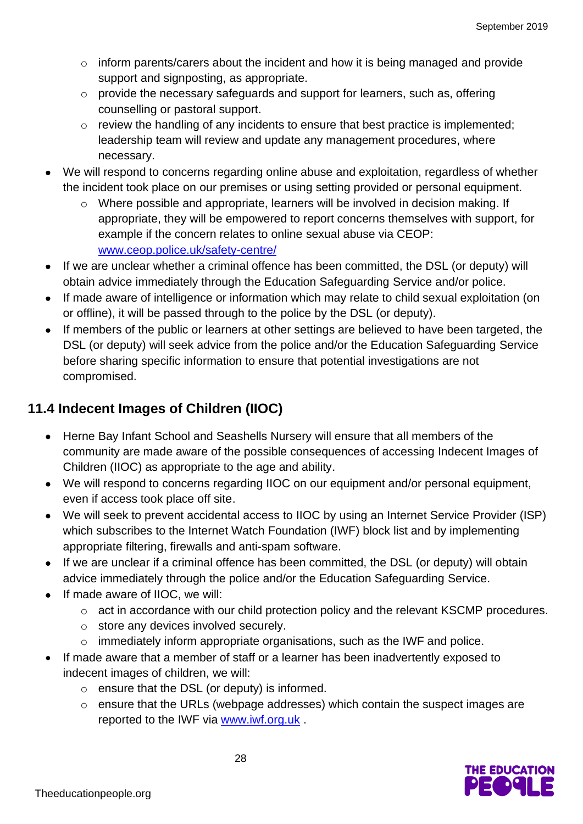- o inform parents/carers about the incident and how it is being managed and provide support and signposting, as appropriate.
- o provide the necessary safeguards and support for learners, such as, offering counselling or pastoral support.
- o review the handling of any incidents to ensure that best practice is implemented; leadership team will review and update any management procedures, where necessary.
- We will respond to concerns regarding online abuse and exploitation, regardless of whether the incident took place on our premises or using setting provided or personal equipment.
	- o Where possible and appropriate, learners will be involved in decision making. If appropriate, they will be empowered to report concerns themselves with support, for example if the concern relates to online sexual abuse via CEOP: [www.ceop.police.uk/safety-centre/](http://www.ceop.police.uk/safety-centre/)
- If we are unclear whether a criminal offence has been committed, the DSL (or deputy) will obtain advice immediately through the Education Safeguarding Service and/or police.
- If made aware of intelligence or information which may relate to child sexual exploitation (on or offline), it will be passed through to the police by the DSL (or deputy).
- If members of the public or learners at other settings are believed to have been targeted, the DSL (or deputy) will seek advice from the police and/or the Education Safeguarding Service before sharing specific information to ensure that potential investigations are not compromised.

## **11.4 Indecent Images of Children (IIOC)**

- Herne Bay Infant School and Seashells Nursery will ensure that all members of the community are made aware of the possible consequences of accessing Indecent Images of Children (IIOC) as appropriate to the age and ability.
- We will respond to concerns regarding IIOC on our equipment and/or personal equipment, even if access took place off site.
- We will seek to prevent accidental access to IIOC by using an Internet Service Provider (ISP) which subscribes to the Internet Watch Foundation (IWF) block list and by implementing appropriate filtering, firewalls and anti-spam software.
- If we are unclear if a criminal offence has been committed, the DSL (or deputy) will obtain advice immediately through the police and/or the Education Safeguarding Service.
- If made aware of IIOC, we will:
	- o act in accordance with our child protection policy and the relevant KSCMP procedures.
	- o store any devices involved securely.
	- o immediately inform appropriate organisations, such as the IWF and police.
- If made aware that a member of staff or a learner has been inadvertently exposed to indecent images of children, we will:
	- o ensure that the DSL (or deputy) is informed.
	- o ensure that the URLs (webpage addresses) which contain the suspect images are reported to the IWF via [www.iwf.org.uk](https://www.iwf.org.uk/).

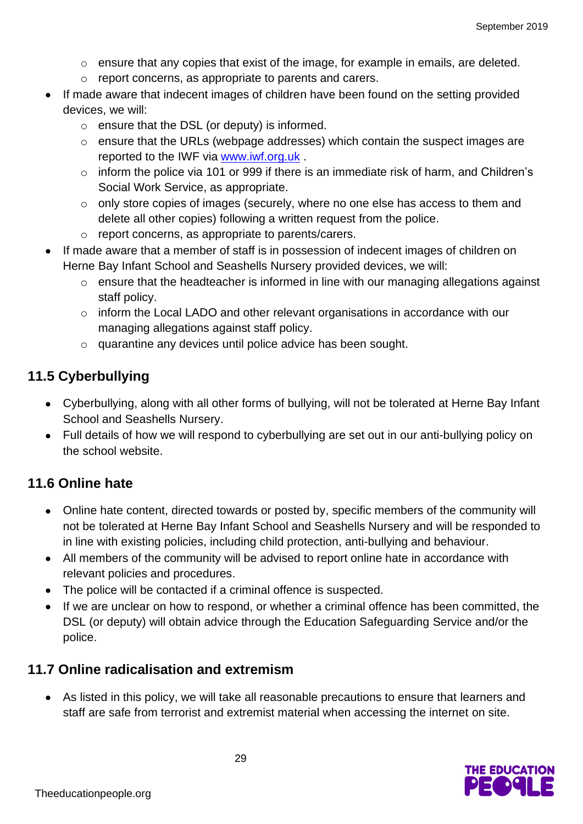- $\circ$  ensure that any copies that exist of the image, for example in emails, are deleted.
- o report concerns, as appropriate to parents and carers.
- If made aware that indecent images of children have been found on the setting provided devices, we will:
	- $\circ$  ensure that the DSL (or deputy) is informed.
	- o ensure that the URLs (webpage addresses) which contain the suspect images are reported to the IWF via [www.iwf.org.uk](https://www.iwf.org.uk/) .
	- o inform the police via 101 or 999 if there is an immediate risk of harm, and Children's Social Work Service, as appropriate.
	- o only store copies of images (securely, where no one else has access to them and delete all other copies) following a written request from the police.
	- o report concerns, as appropriate to parents/carers.
- If made aware that a member of staff is in possession of indecent images of children on Herne Bay Infant School and Seashells Nursery provided devices, we will:
	- o ensure that the headteacher is informed in line with our managing allegations against staff policy.
	- o inform the Local LADO and other relevant organisations in accordance with our managing allegations against staff policy.
	- o quarantine any devices until police advice has been sought.

## **11.5 Cyberbullying**

- Cyberbullying, along with all other forms of bullying, will not be tolerated at Herne Bay Infant School and Seashells Nursery.
- Full details of how we will respond to cyberbullying are set out in our anti-bullying policy on the school website.

## **11.6 Online hate**

- Online hate content, directed towards or posted by, specific members of the community will not be tolerated at Herne Bay Infant School and Seashells Nursery and will be responded to in line with existing policies, including child protection, anti-bullying and behaviour.
- All members of the community will be advised to report online hate in accordance with relevant policies and procedures.
- The police will be contacted if a criminal offence is suspected.
- If we are unclear on how to respond, or whether a criminal offence has been committed, the DSL (or deputy) will obtain advice through the Education Safeguarding Service and/or the police.

### **11.7 Online radicalisation and extremism**

• As listed in this policy, we will take all reasonable precautions to ensure that learners and staff are safe from terrorist and extremist material when accessing the internet on site.

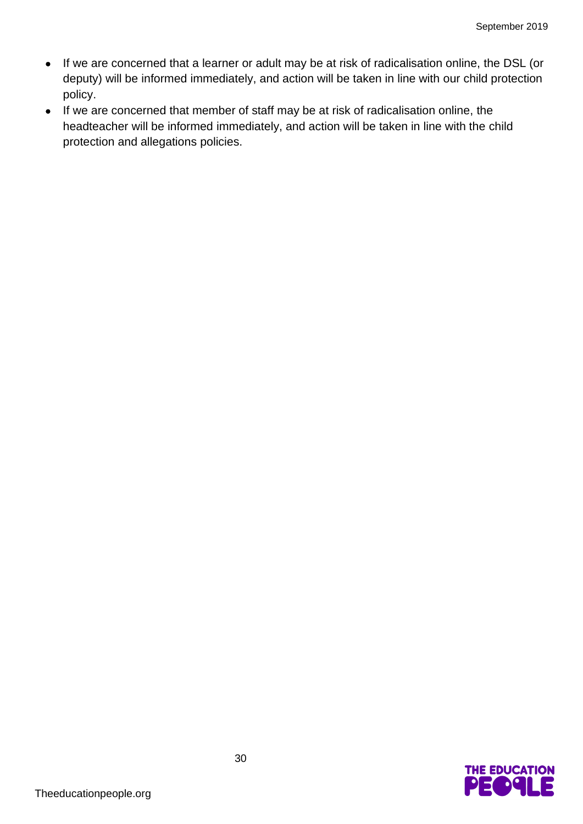- If we are concerned that a learner or adult may be at risk of radicalisation online, the DSL (or deputy) will be informed immediately, and action will be taken in line with our child protection policy.
- If we are concerned that member of staff may be at risk of radicalisation online, the headteacher will be informed immediately, and action will be taken in line with the child protection and allegations policies.

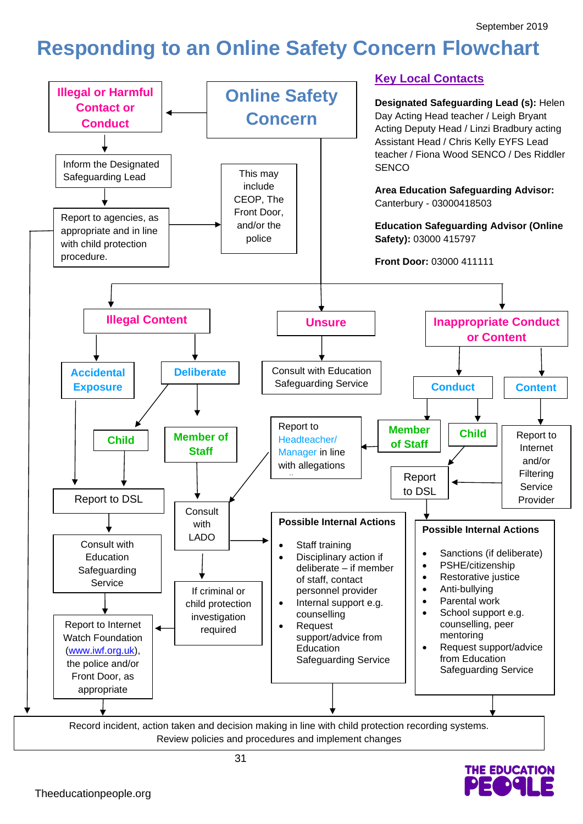## **Responding to an Online Safety Concern Flowchart**



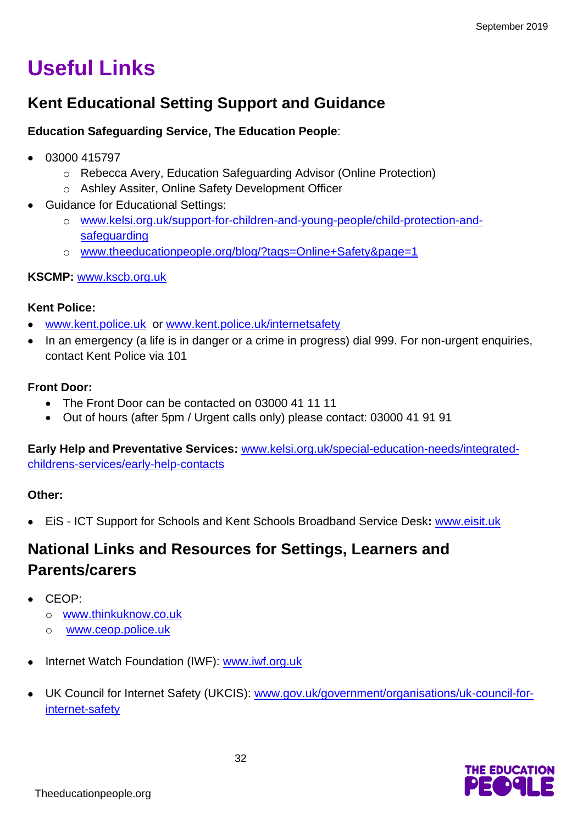# **Useful Links**

## **Kent Educational Setting Support and Guidance**

#### **Education Safeguarding Service, The Education People**:

- 03000 415797
	- o Rebecca Avery, Education Safeguarding Advisor (Online Protection)
	- o Ashley Assiter, Online Safety Development Officer
- Guidance for Educational Settings:
	- o [www.kelsi.org.uk/support-for-children-and-young-people/child-protection-and](http://www.kelsi.org.uk/support-for-children-and-young-people/child-protection-and-safeguarding)[safeguarding](http://www.kelsi.org.uk/support-for-children-and-young-people/child-protection-and-safeguarding)
	- o [www.theeducationpeople.org/blog/?tags=Online+Safety&page=1](http://www.theeducationpeople.org/blog/?tags=Online+Safety&page=1)

#### **KSCMP:** [www.kscb.org.uk](http://www.kscb.org.uk/)

#### **Kent Police:**

- [www.kent.police.uk](http://www.kent.police.uk/) or [www.kent.police.uk/internetsafety](http://www.kent.police.uk/internetsafety)
- In an emergency (a life is in danger or a crime in progress) dial 999. For non-urgent enquiries, contact Kent Police via 101

#### **Front Door:**

- The Front Door can be contacted on 03000 41 11 11
- Out of hours (after 5pm / Urgent calls only) please contact: 03000 41 91 91

**Early Help and Preventative Services:** [www.kelsi.org.uk/special-education-needs/integrated](http://www.kelsi.org.uk/special-education-needs/integrated-childrens-services/early-help-contacts)[childrens-services/early-help-contacts](http://www.kelsi.org.uk/special-education-needs/integrated-childrens-services/early-help-contacts)

#### **Other:**

• EiS - ICT Support for Schools and Kent Schools Broadband Service Desk**:** [www.eisit.uk](http://www.eisit.uk/)

## **National Links and Resources for Settings, Learners and Parents/carers**

- CEOP:
	- o [www.thinkuknow.co.uk](http://www.thinkuknow.co.uk/)
	- o [www.ceop.police.uk](http://www.ceop.police.uk/)
- Internet Watch Foundation (IWF): [www.iwf.org.uk](http://www.iwf.org.uk/)
- UK Council for Internet Safety (UKCIS): [www.gov.uk/government/organisations/uk-council-for](https://www.gov.uk/government/organisations/uk-council-for-internet-safety)[internet-safety](https://www.gov.uk/government/organisations/uk-council-for-internet-safety)